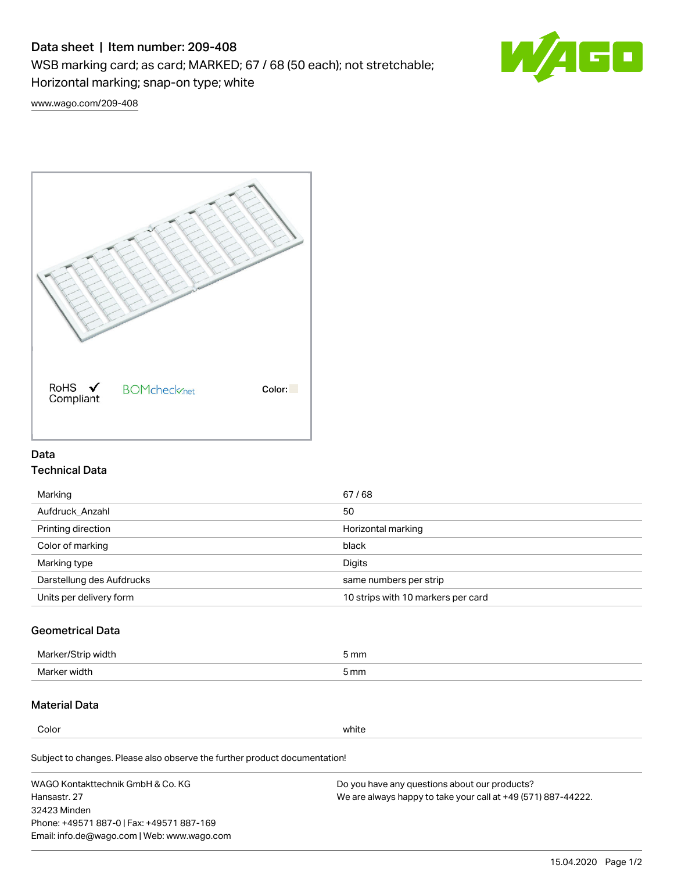# Data sheet | Item number: 209-408

WSB marking card; as card; MARKED; 67 / 68 (50 each); not stretchable;

Horizontal marking; snap-on type; white



[www.wago.com/209-408](http://www.wago.com/209-408)



### Data Technical Data

| Marking                   | 67/68                              |
|---------------------------|------------------------------------|
| Aufdruck Anzahl           | 50                                 |
| Printing direction        | Horizontal marking                 |
| Color of marking          | black                              |
| Marking type              | Digits                             |
| Darstellung des Aufdrucks | same numbers per strip             |
| Units per delivery form   | 10 strips with 10 markers per card |

## Geometrical Data

| Marker/Strip width | 5 mm |
|--------------------|------|
| Marker width       | 5 mm |

### Material Data

Color white

Subject to changes. Please also observe the further product documentation!

WAGO Kontakttechnik GmbH & Co. KG Hansastr. 27 32423 Minden Phone: +49571 887-0 | Fax: +49571 887-169 Email: info.de@wago.com | Web: www.wago.com Do you have any questions about our products? We are always happy to take your call at +49 (571) 887-44222.